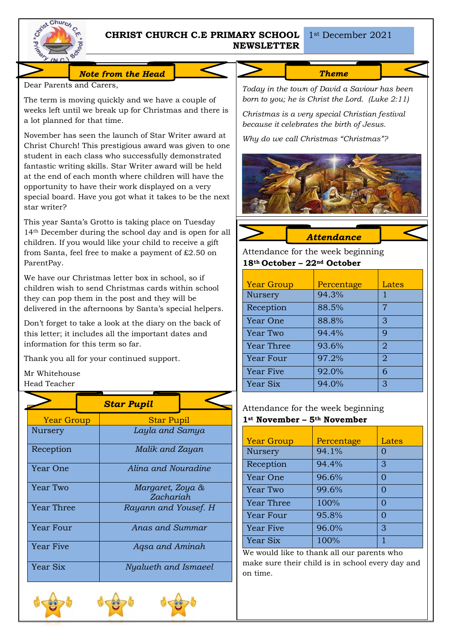

# **CHRIST CHURCH C.E PRIMARY SCHOOL**  1st December 2021 **NEWSLETTER**

#### *Note from the Head*

Dear Parents and Carers,

The term is moving quickly and we have a couple of weeks left until we break up for Christmas and there is a lot planned for that time.

November has seen the launch of Star Writer award at Christ Church! This prestigious award was given to one student in each class who successfully demonstrated fantastic writing skills. Star Writer award will be held at the end of each month where children will have the opportunity to have their work displayed on a very special board. Have you got what it takes to be the next star writer?

This year Santa's Grotto is taking place on Tuesday 14th December during the school day and is open for all children. If you would like your child to receive a gift from Santa, feel free to make a payment of £2.50 on ParentPay.

We have our Christmas letter box in school, so if children wish to send Christmas cards within school they can pop them in the post and they will be delivered in the afternoons by Santa's special helpers.

Don't forget to take a look at the diary on the back of this letter; it includes all the important dates and information for this term so far.

Thank you all for your continued support.

Mr Whitehouse Head Teacher

|                   | <b>Star Pupil</b>             |  |
|-------------------|-------------------------------|--|
| <b>Year Group</b> | <b>Star Pupil</b>             |  |
| Nursery           | Layla and Samya               |  |
| Reception         | Malik and Zayan               |  |
| Year One          | Alina and Nouradine           |  |
| Year Two          | Margaret, Zoya &<br>Zachariah |  |
| Year Three        | Rayann and Yousef. H          |  |
| Year Four         | Anas and Summar               |  |
| <b>Year Five</b>  | Agsa and Aminah               |  |
| Year Six          | Nyalueth and Ismaeel          |  |







*Theme* 

*Today in the town of David a Saviour has been born to you; he is Christ the Lord. (Luke 2:11)*

*Christmas is a very special Christian festival because it celebrates the birth of Jesus.* 

*Why do we call Christmas "Christmas"?*



*Attendance* 

Attendance for the week beginning **18th October – 22nd October**

| <b>Year Group</b> | Percentage | Lates          |
|-------------------|------------|----------------|
| Nursery           | 94.3%      |                |
| Reception         | 88.5%      | 7              |
| Year One          | 88.8%      | 3              |
| Year Two          | 94.4%      | 9              |
| <b>Year Three</b> | 93.6%      | $\overline{2}$ |
| <b>Year Four</b>  | 97.2%      | $\overline{2}$ |
| <b>Year Five</b>  | 92.0%      | 6              |
| Year Six          | 94.0%      | 3              |

Attendance for the week beginning **1st November – 5th November**

| <b>Year Group</b> | Percentage | Lates    |
|-------------------|------------|----------|
| Nursery           | 94.1%      |          |
| Reception         | 94.4%      | 3        |
| Year One          | 96.6%      | ∩        |
| <b>Year Two</b>   | 99.6%      | ∩        |
| <b>Year Three</b> | 100%       | $\Gamma$ |
| <b>Year Four</b>  | 95.8%      | O        |
| <b>Year Five</b>  | 96.0%      | З        |
| Year Six          | 100%       |          |

We would like to thank all our parents who make sure their child is in school every day and on time.